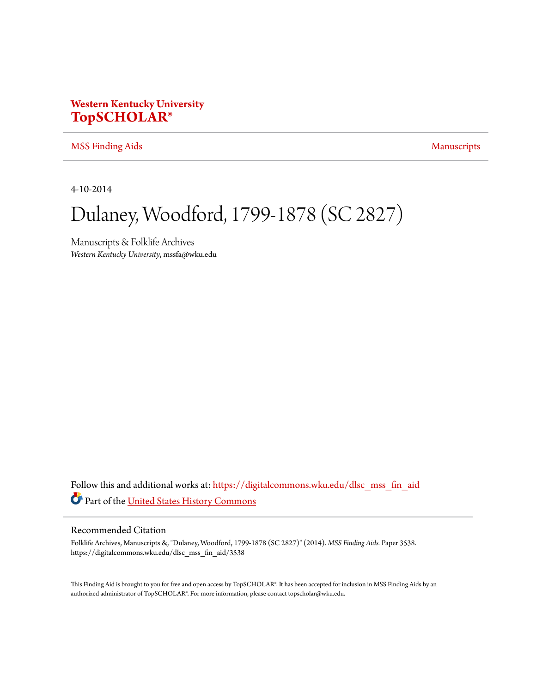## **Western Kentucky University [TopSCHOLAR®](https://digitalcommons.wku.edu?utm_source=digitalcommons.wku.edu%2Fdlsc_mss_fin_aid%2F3538&utm_medium=PDF&utm_campaign=PDFCoverPages)**

#### [MSS Finding Aids](https://digitalcommons.wku.edu/dlsc_mss_fin_aid?utm_source=digitalcommons.wku.edu%2Fdlsc_mss_fin_aid%2F3538&utm_medium=PDF&utm_campaign=PDFCoverPages) [Manuscripts](https://digitalcommons.wku.edu/dlsc_mss?utm_source=digitalcommons.wku.edu%2Fdlsc_mss_fin_aid%2F3538&utm_medium=PDF&utm_campaign=PDFCoverPages) Manuscripts

4-10-2014

# Dulaney, Woodford, 1799-1878 (SC 2827)

Manuscripts & Folklife Archives *Western Kentucky University*, mssfa@wku.edu

Follow this and additional works at: [https://digitalcommons.wku.edu/dlsc\\_mss\\_fin\\_aid](https://digitalcommons.wku.edu/dlsc_mss_fin_aid?utm_source=digitalcommons.wku.edu%2Fdlsc_mss_fin_aid%2F3538&utm_medium=PDF&utm_campaign=PDFCoverPages) Part of the [United States History Commons](http://network.bepress.com/hgg/discipline/495?utm_source=digitalcommons.wku.edu%2Fdlsc_mss_fin_aid%2F3538&utm_medium=PDF&utm_campaign=PDFCoverPages)

#### Recommended Citation

Folklife Archives, Manuscripts &, "Dulaney, Woodford, 1799-1878 (SC 2827)" (2014). *MSS Finding Aids.* Paper 3538. https://digitalcommons.wku.edu/dlsc\_mss\_fin\_aid/3538

This Finding Aid is brought to you for free and open access by TopSCHOLAR®. It has been accepted for inclusion in MSS Finding Aids by an authorized administrator of TopSCHOLAR®. For more information, please contact topscholar@wku.edu.